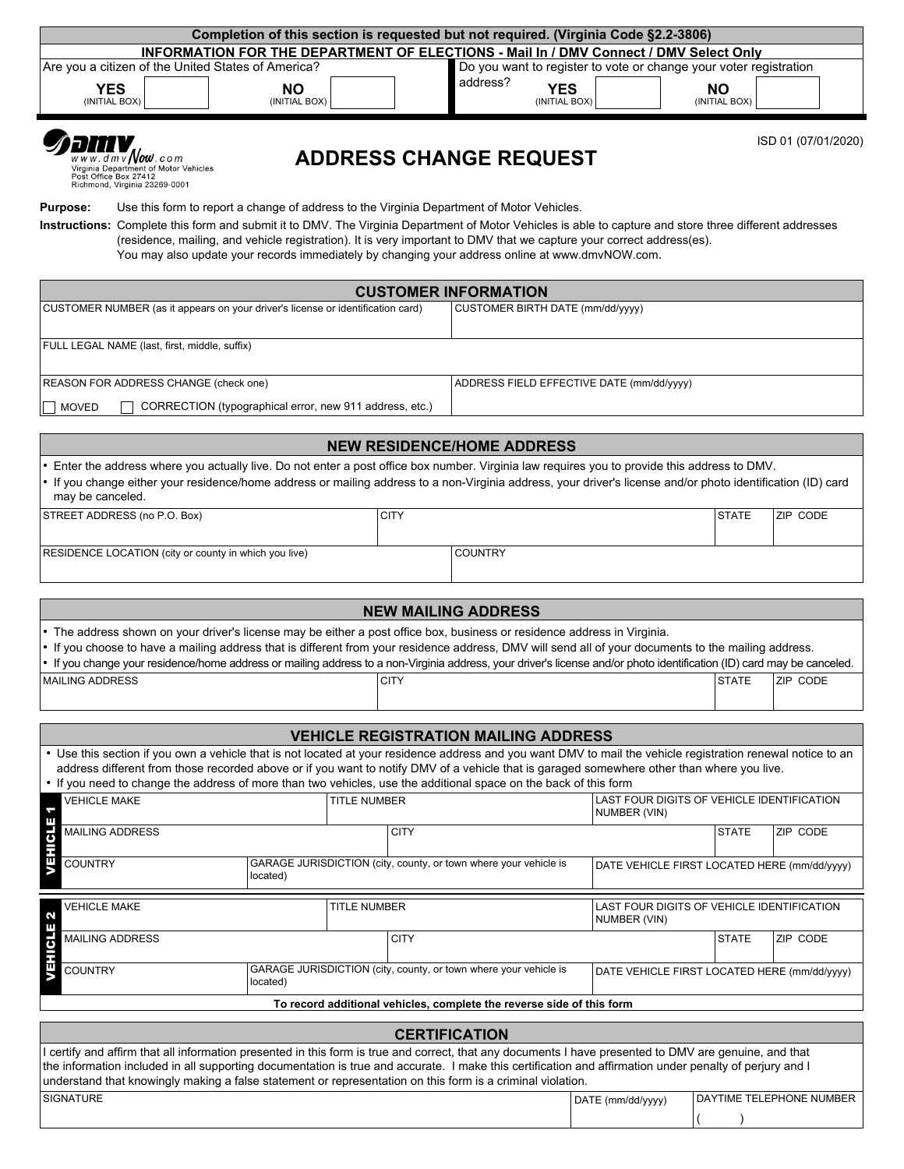|                                                                                                                                                                                                                                                                                                                                                                                                                                                                                              |                            |                                                                 |                      | Completion of this section is requested but not required. (Virginia Code §2.2-3806)          |                                                            |                            |                          |
|----------------------------------------------------------------------------------------------------------------------------------------------------------------------------------------------------------------------------------------------------------------------------------------------------------------------------------------------------------------------------------------------------------------------------------------------------------------------------------------------|----------------------------|-----------------------------------------------------------------|----------------------|----------------------------------------------------------------------------------------------|------------------------------------------------------------|----------------------------|--------------------------|
|                                                                                                                                                                                                                                                                                                                                                                                                                                                                                              |                            |                                                                 |                      | <b>INFORMATION FOR THE DEPARTMENT OF ELECTIONS - Mail In / DMV Connect / DMV Select Only</b> |                                                            |                            |                          |
| Are you a citizen of the United States of America?                                                                                                                                                                                                                                                                                                                                                                                                                                           |                            |                                                                 |                      | Do you want to register to vote or change your voter registration<br>address?                |                                                            |                            |                          |
| <b>YES</b><br>(INITIAL BOX)                                                                                                                                                                                                                                                                                                                                                                                                                                                                  | <b>NO</b><br>(INITIAL BOX) |                                                                 |                      | <b>YES</b><br>(INITIAL BOX)                                                                  |                                                            | <b>NO</b><br>(INITIAL BOX) |                          |
| $\sqrt{w}$ w $\sqrt{a}$ m $\sqrt{w}$ $\sqrt{w}$ . com<br>Virginia Department of Motor Vehicles<br>Post Office Box 27412<br>Richmond, Virginia 23269-0001                                                                                                                                                                                                                                                                                                                                     |                            |                                                                 |                      | <b>ADDRESS CHANGE REQUEST</b>                                                                |                                                            |                            | ISD 01 (07/01/2020)      |
| Purpose:<br>Use this form to report a change of address to the Virginia Department of Motor Vehicles.<br>Instructions: Complete this form and submit it to DMV. The Virginia Department of Motor Vehicles is able to capture and store three different addresses<br>(residence, mailing, and vehicle registration). It is very important to DMV that we capture your correct address(es).<br>You may also update your records immediately by changing your address online at www.dmvNOW.com. |                            |                                                                 |                      |                                                                                              |                                                            |                            |                          |
| CUSTOMER NUMBER (as it appears on your driver's license or identification card)                                                                                                                                                                                                                                                                                                                                                                                                              |                            | <b>CUSTOMER INFORMATION</b><br>CUSTOMER BIRTH DATE (mm/dd/yyyy) |                      |                                                                                              |                                                            |                            |                          |
| FULL LEGAL NAME (last, first, middle, suffix)                                                                                                                                                                                                                                                                                                                                                                                                                                                |                            |                                                                 |                      |                                                                                              |                                                            |                            |                          |
| REASON FOR ADDRESS CHANGE (check one)                                                                                                                                                                                                                                                                                                                                                                                                                                                        |                            |                                                                 |                      | ADDRESS FIELD EFFECTIVE DATE (mm/dd/yyyy)                                                    |                                                            |                            |                          |
| <b>MOVED</b><br>CORRECTION (typographical error, new 911 address, etc.)                                                                                                                                                                                                                                                                                                                                                                                                                      |                            |                                                                 |                      |                                                                                              |                                                            |                            |                          |
|                                                                                                                                                                                                                                                                                                                                                                                                                                                                                              |                            |                                                                 |                      | <b>NEW RESIDENCE/HOME ADDRESS</b>                                                            |                                                            |                            |                          |
| • Enter the address where you actually live. Do not enter a post office box number. Virginia law requires you to provide this address to DMV.<br>• If you change either your residence/home address or mailing address to a non-Virginia address, your driver's license and/or photo identification (ID) card<br>may be canceled.                                                                                                                                                            |                            |                                                                 |                      |                                                                                              |                                                            |                            |                          |
| STREET ADDRESS (no P.O. Box)                                                                                                                                                                                                                                                                                                                                                                                                                                                                 |                            | <b>CITY</b>                                                     |                      |                                                                                              |                                                            | <b>STATE</b>               | ZIP CODE                 |
| RESIDENCE LOCATION (city or county in which you live)                                                                                                                                                                                                                                                                                                                                                                                                                                        |                            |                                                                 |                      | <b>COUNTRY</b>                                                                               |                                                            |                            |                          |
|                                                                                                                                                                                                                                                                                                                                                                                                                                                                                              |                            |                                                                 |                      | <b>NEW MAILING ADDRESS</b>                                                                   |                                                            |                            |                          |
| • The address shown on your driver's license may be either a post office box, business or residence address in Virginia.<br>. If you choose to have a mailing address that is different from your residence address, DMV will send all of your documents to the mailing address.                                                                                                                                                                                                             |                            |                                                                 |                      |                                                                                              |                                                            |                            |                          |
| • If you change your residence/home address or mailing address to a non-Virginia address, your driver's license and/or photo identification (ID) card may be canceled.<br><b>MAILING ADDRESS</b>                                                                                                                                                                                                                                                                                             |                            | <b>CITY</b>                                                     |                      |                                                                                              |                                                            | <b>STATE</b>               | ZIP CODE                 |
|                                                                                                                                                                                                                                                                                                                                                                                                                                                                                              |                            |                                                                 |                      | <b>VEHICLE REGISTRATION MAILING ADDRESS</b>                                                  |                                                            |                            |                          |
| . Use this section if you own a vehicle that is not located at your residence address and you want DMV to mail the vehicle registration renewal notice to an<br>address different from those recorded above or if you want to notify DMV of a vehicle that is garaged somewhere other than where you live.<br>• If you need to change the address of more than two vehicles, use the additional space on the back of this form                                                               |                            |                                                                 |                      |                                                                                              |                                                            |                            |                          |
| <b>VEHICLE MAKE</b>                                                                                                                                                                                                                                                                                                                                                                                                                                                                          |                            | <b>TITLE NUMBER</b>                                             |                      |                                                                                              | LAST FOUR DIGITS OF VEHICLE IDENTIFICATION<br>NUMBER (VIN) |                            |                          |
| VEHICLE<br><b>MAILING ADDRESS</b>                                                                                                                                                                                                                                                                                                                                                                                                                                                            |                            | <b>CITY</b>                                                     |                      |                                                                                              |                                                            | <b>STATE</b>               | ZIP CODE                 |
| <b>COUNTRY</b>                                                                                                                                                                                                                                                                                                                                                                                                                                                                               | located)                   |                                                                 |                      | GARAGE JURISDICTION (city, county, or town where your vehicle is                             | DATE VEHICLE FIRST LOCATED HERE (mm/dd/yyyy)               |                            |                          |
| <b>VEHICLE MAKE</b><br>2                                                                                                                                                                                                                                                                                                                                                                                                                                                                     |                            | <b>TITLE NUMBER</b>                                             |                      |                                                                                              | LAST FOUR DIGITS OF VEHICLE IDENTIFICATION<br>NUMBER (VIN) |                            |                          |
| <b>STE</b><br><b>MAILING ADDRESS</b>                                                                                                                                                                                                                                                                                                                                                                                                                                                         | <b>CITY</b>                |                                                                 |                      | <b>STATE</b>                                                                                 |                                                            |                            | ZIP CODE                 |
| ЛНЕ.<br><b>COUNTRY</b>                                                                                                                                                                                                                                                                                                                                                                                                                                                                       | located)                   |                                                                 |                      | GARAGE JURISDICTION (city, county, or town where your vehicle is                             | DATE VEHICLE FIRST LOCATED HERE (mm/dd/yyyy)               |                            |                          |
|                                                                                                                                                                                                                                                                                                                                                                                                                                                                                              |                            |                                                                 |                      | To record additional vehicles, complete the reverse side of this form                        |                                                            |                            |                          |
| I certify and affirm that all information presented in this form is true and correct, that any documents I have presented to DMV are genuine, and that                                                                                                                                                                                                                                                                                                                                       |                            |                                                                 | <b>CERTIFICATION</b> |                                                                                              |                                                            |                            |                          |
| the information included in all supporting documentation is true and accurate. I make this certification and affirmation under penalty of perjury and I<br>understand that knowingly making a false statement or representation on this form is a criminal violation.                                                                                                                                                                                                                        |                            |                                                                 |                      |                                                                                              |                                                            |                            |                          |
| <b>SIGNATURE</b>                                                                                                                                                                                                                                                                                                                                                                                                                                                                             |                            |                                                                 |                      |                                                                                              | DATE (mm/dd/yyyy)                                          |                            | DAYTIME TELEPHONE NUMBER |
|                                                                                                                                                                                                                                                                                                                                                                                                                                                                                              |                            |                                                                 |                      |                                                                                              |                                                            |                            |                          |